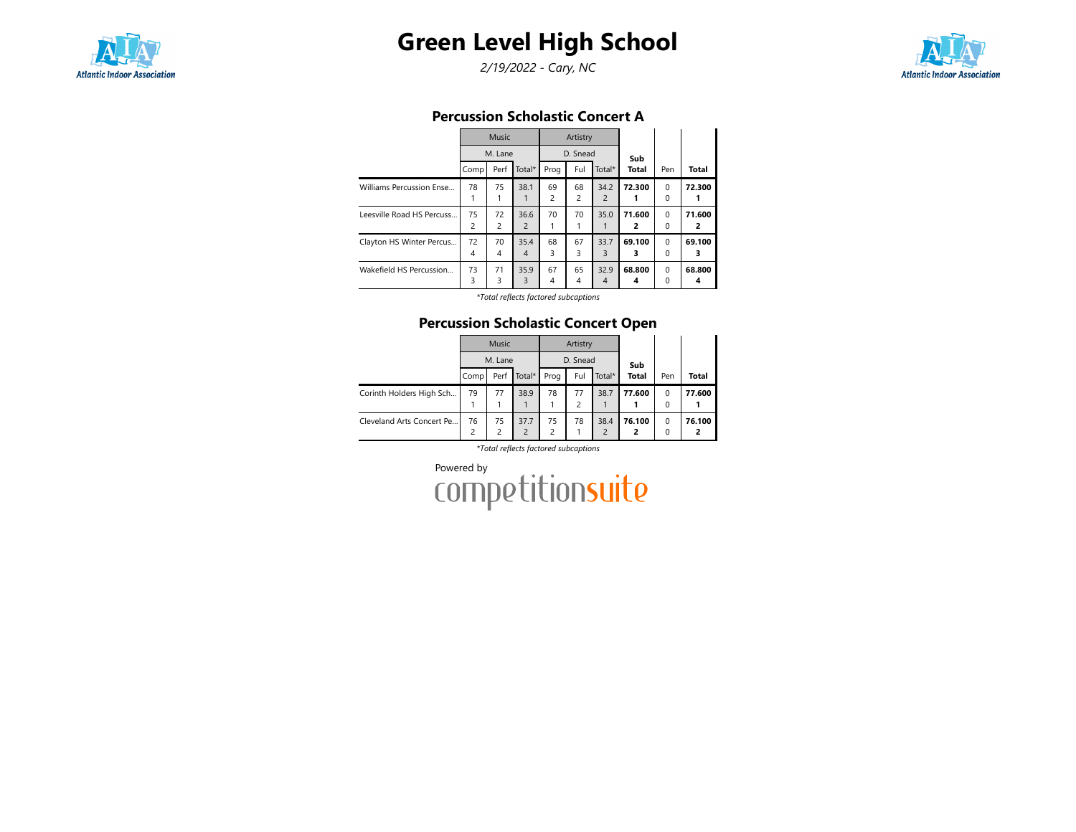

# Green Level High School

2/19/2022 - Cary, NC



## Percussion Scholastic Concert A

|                           |         | <b>Music</b> |                        |                      | Artistry             |                        |              |                          |              |
|---------------------------|---------|--------------|------------------------|----------------------|----------------------|------------------------|--------------|--------------------------|--------------|
|                           |         | M. Lane      |                        |                      | D. Snead             |                        | Sub          |                          |              |
|                           | Comp    | Perf         | Total*                 | Prog                 | Ful                  | Total*                 | <b>Total</b> | Pen                      | <b>Total</b> |
| Williams Percussion Ense  | 78      | 75           | 38.1                   | 69<br>$\overline{c}$ | 68<br>2              | 34.2<br>$\overline{2}$ | 72.300       | $\Omega$<br>0            | 72.300       |
| Leesville Road HS Percuss | 75<br>2 | 72<br>2      | 36.6<br>$\overline{2}$ | 70                   | 70                   | 35.0                   | 71.600<br>2  | $\Omega$<br>$\Omega$     | 71.600<br>2  |
| Clayton HS Winter Percus  | 72<br>4 | 70<br>4      | 35.4<br>$\overline{4}$ | 68<br>3              | 67<br>3              | 33.7<br>3              | 69.100<br>з  | $\Omega$<br><sup>0</sup> | 69.100<br>3  |
| Wakefield HS Percussion   | 73<br>3 | 71<br>3      | 35.9<br>3              | 67<br>4              | 65<br>$\overline{4}$ | 32.9<br>4              | 68.800<br>4  | $\Omega$<br>0            | 68.800<br>4  |

\*Total reflects factored subcaptions

### Percussion Scholastic Concert Open

|                           |      | Music               |                                  |                     | Artistry             |                        |              |               |        |
|---------------------------|------|---------------------|----------------------------------|---------------------|----------------------|------------------------|--------------|---------------|--------|
|                           |      | M. Lane             |                                  |                     | D. Snead             |                        | Sub          |               |        |
|                           | Comp | Perf                | Total*                           | Prog                | Ful                  | Total*                 | <b>Total</b> | Pen           | Total  |
| Corinth Holders High Sch  | 79   | 77                  | 38.9                             | 78                  | 77<br>$\overline{c}$ | 38.7                   | 77.600       | $\Omega$<br>0 | 77.600 |
| Cleveland Arts Concert Pe | 76   | 75<br>$\mathcal{P}$ | 37.7<br>$\overline{\phantom{a}}$ | 75<br>$\mathcal{P}$ | 78                   | 38.4<br>$\overline{2}$ | 76.100<br>2  | $\Omega$<br>0 | 76.100 |

\*Total reflects factored subcaptions

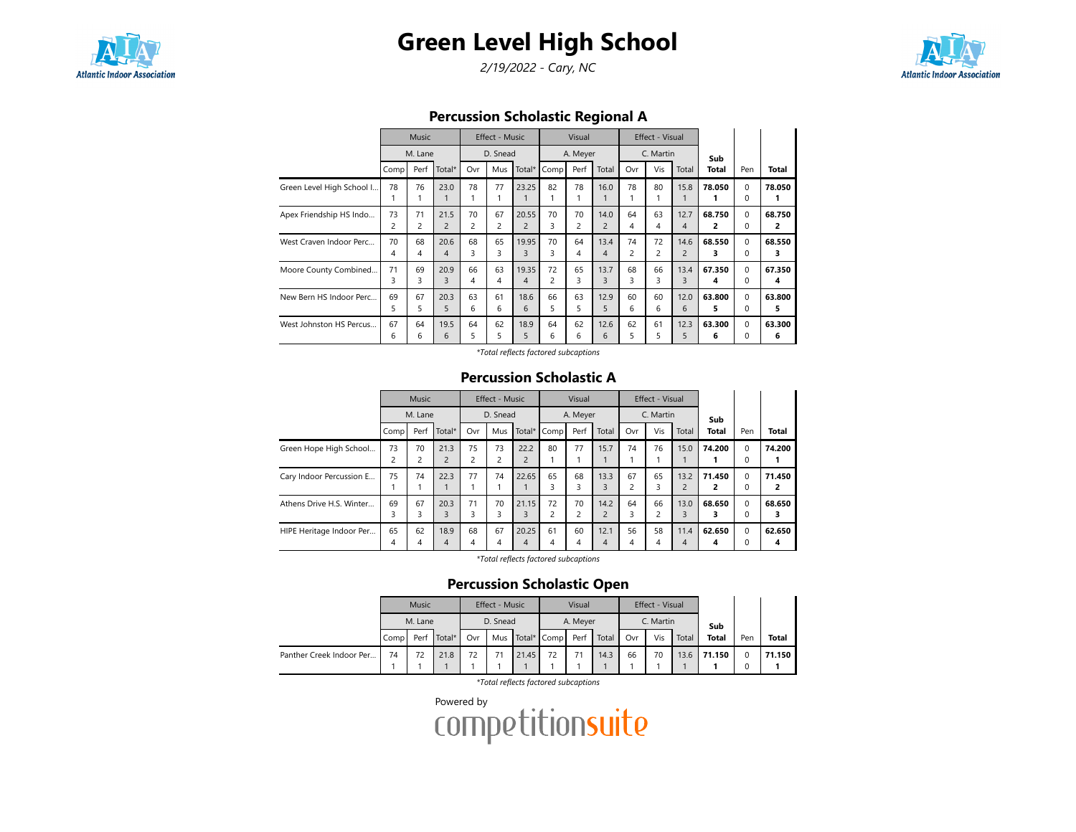

# Green Level High School

2/19/2022 - Cary, NC



Percussion Scholastic Regional A

|                           |                | <b>Music</b> |                |                | <b>Effect - Music</b> |                |                | Visual         |                |                | Effect - Visual |                |              |          |             |
|---------------------------|----------------|--------------|----------------|----------------|-----------------------|----------------|----------------|----------------|----------------|----------------|-----------------|----------------|--------------|----------|-------------|
|                           | M. Lane        |              |                | D. Snead       |                       |                | A. Meyer       |                |                | C. Martin      |                 |                |              |          |             |
|                           | Comp           | Perf         | Total*         | Ovr            | Mus                   | Total $*$      | Comp           | Perf           | Total          | Ovr            | Vis             | Total          | Sub<br>Total | Pen      | Total       |
| Green Level High School I | 78             | 76           | 23.0           | 78             | 77<br>1               | 23.25          | 82             | 78             | 16.0<br>1      | 78             | 80              | 15.8           | 78.050<br>1. | 0<br>0   | 78.050<br>1 |
| Apex Friendship HS Indo   | 73             | 71           | 21.5           | 70             | 67                    | 20.55          | 70             | 70             | 14.0           | 64             | 63              | 12.7           | 68.750       | $\Omega$ | 68.750      |
|                           | $\overline{c}$ | 2            | $\overline{c}$ | $\overline{2}$ | $\overline{c}$        | $\overline{2}$ | 3              | $\overline{c}$ | $\overline{2}$ | 4              | 4               | 4              | 2            | 0        | 2           |
| West Craven Indoor Perc   | 70             | 68           | 20.6           | 68             | 65                    | 19.95          | 70             | 64             | 13.4           | 74             | 72              | 14.6           | 68.550       | $\Omega$ | 68.550      |
|                           | 4              | 4            | 4              | 3              | 3                     | 3              | 3              | 4              | $\overline{4}$ | $\overline{c}$ | $\overline{c}$  | $\overline{c}$ | з            | 0        | з           |
| Moore County Combined     | 71             | 69           | 20.9           | 66             | 63                    | 19.35          | 72             | 65             | 13.7           | 68             | 66              | 13.4           | 67.350       | $\Omega$ | 67.350      |
|                           | 3              | 3            | 3              | 4              | 4                     | 4              | $\overline{c}$ | 3              | 3              | 3              | 3               | 3              | 4            | 0        | 4           |
| New Bern HS Indoor Perc   | 69             | 67           | 20.3           | 63             | 61                    | 18.6           | 66             | 63             | 12.9           | 60             | 60              | 12.0           | 63.800       | $\Omega$ | 63.800      |
|                           | 5              | 5            | 5              | 6              | 6                     | 6              | 5              | 5              | 5              | 6              | 6               | 6              | 5            | 0        | 5           |
| West Johnston HS Percus   | 67             | 64           | 19.5           | 64             | 62                    | 18.9           | 64             | 62             | 12.6           | 62             | 61              | 12.3           | 63.300       | $\Omega$ | 63.300      |
|                           | 6              | 6            | 6              | 5              | 5                     | 5              | 6              | 6              | 6              | 5              | 5               | 5              | 6            | 0        | 6           |

\*Total reflects factored subcaptions

#### Percussion Scholastic A

|                          | <b>Music</b> |         |                        | Effect - Music       |          |                        | Visual  |          | Effect - Visual        |         |           |                        |                     |                      |                          |
|--------------------------|--------------|---------|------------------------|----------------------|----------|------------------------|---------|----------|------------------------|---------|-----------|------------------------|---------------------|----------------------|--------------------------|
|                          | M. Lane      |         |                        |                      | D. Snead |                        |         | A. Meyer |                        |         | C. Martin |                        |                     |                      |                          |
|                          | Comp         | Perf    | Total*                 | Ovr                  | Mus      | Total*                 | Comp    | Perf     | Total                  | Ovr     | Vis       | Total                  | Sub<br><b>Total</b> | Pen                  | <b>Total</b>             |
| Green Hope High School   | 73           | 70<br>2 | 21.3<br>$\overline{2}$ | 75<br>$\overline{c}$ | 73<br>2  | 22.2<br>$\overline{2}$ | 80      | 77       | 15.7                   | 74      | 76        | 15.0                   | 74.200              | $\Omega$<br>0        | 74.200                   |
| Cary Indoor Percussion E | 75           | 74      | 22.3                   | 77                   | 74       | 22.65                  | 65<br>3 | 68<br>3  | 13.3<br>3              | 67<br>2 | 65<br>3   | 13.2<br>$\overline{2}$ | 71.450<br>2         | $\Omega$<br>0        | 71.450<br>$\overline{2}$ |
| Athens Drive H.S. Winter | 69<br>3      | 67<br>3 | 20.3<br>3              | 71<br>3              | 70<br>3  | 21.15<br>3             | 72<br>2 | 70<br>2  | 14.2<br>$\overline{2}$ | 64<br>3 | 66        | 13.0<br>3              | 68.650<br>3         | $\Omega$<br>$\Omega$ | 68.650<br>3              |
| HIPE Heritage Indoor Per | 65<br>4      | 62<br>4 | 18.9<br>4              | 68<br>$\overline{4}$ | 67<br>4  | 20.25<br>4             | 61<br>4 | 60<br>4  | 12.1<br>4              | 56<br>4 | 58<br>4   | 11.4<br>4              | 62.650<br>4         | $\Omega$<br>0        | 62.650<br>4              |

\*Total reflects factored subcaptions

### Percussion Scholastic Open

|                          | Music |         |        | <b>Effect - Music</b> |          |       | Visual          |          |       | Effect - Visual |           |       |              |     |              |
|--------------------------|-------|---------|--------|-----------------------|----------|-------|-----------------|----------|-------|-----------------|-----------|-------|--------------|-----|--------------|
|                          |       | M. Lane |        |                       | D. Snead |       |                 | A. Meyer |       |                 | C. Martin |       | Sub          |     |              |
|                          | Comp  | Perf    | Total* | Ovr                   |          |       | Mus Total* Comp | Perf     | Total | Ovr             | Vis       | Total | <b>Total</b> | Pen | <b>Total</b> |
| Panther Creek Indoor Per | 74    | 72      | 21.8   | 72                    |          | 21.45 | 72              |          | 14.3  | 66              | 70        | 13.6  | 71.150       |     | 71.150       |
|                          |       |         |        |                       |          |       |                 |          |       |                 |           |       |              |     |              |

\*Total reflects factored subcaptions